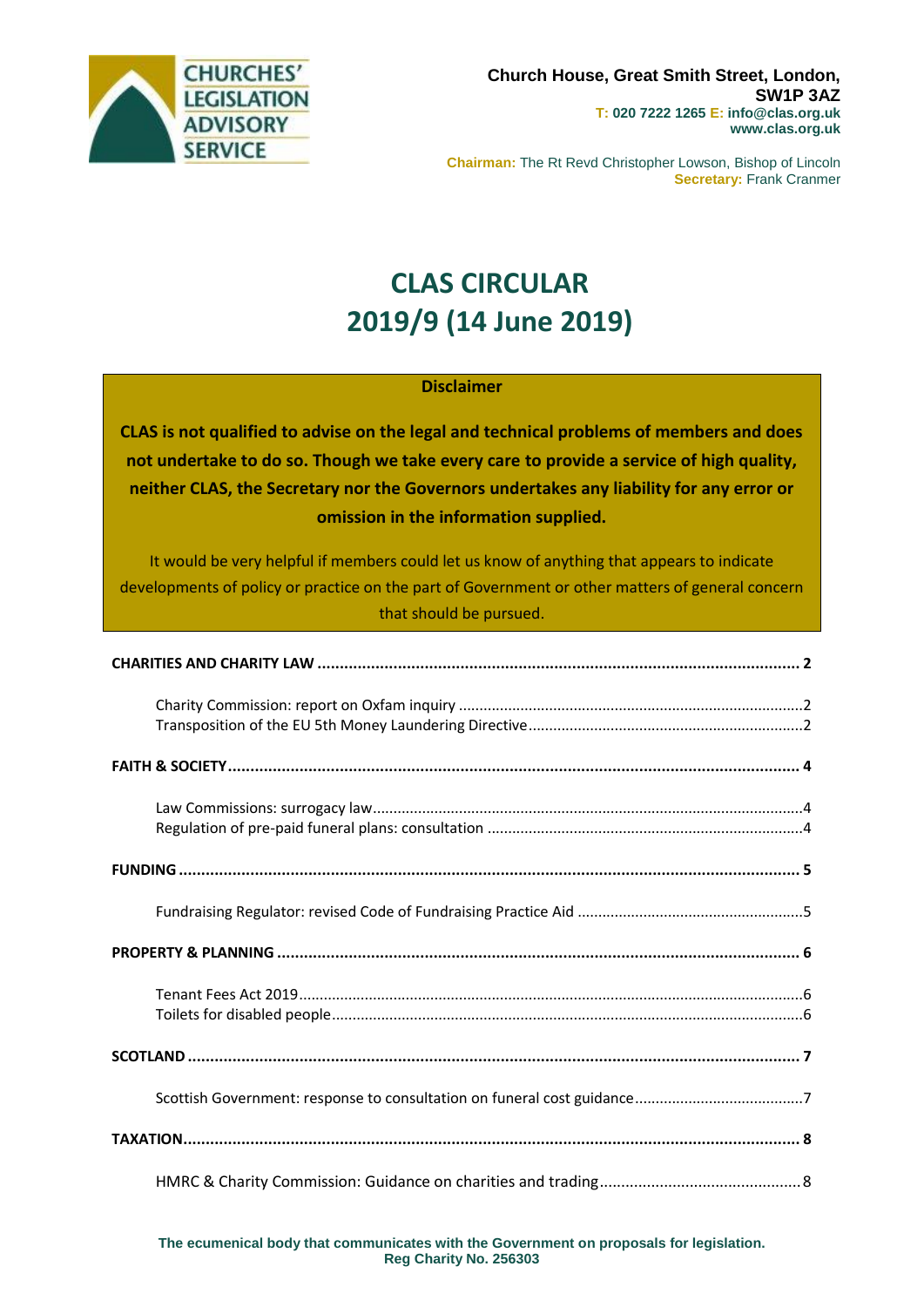

**Chairman:** The Rt Revd Christopher Lowson, Bishop of Lincoln **Secretary:** Frank Cranmer

# **CLAS CIRCULAR 2019/9 (14 June 2019)**

#### **Disclaimer**

**CLAS is not qualified to advise on the legal and technical problems of members and does not undertake to do so. Though we take every care to provide a service of high quality, neither CLAS, the Secretary nor the Governors undertakes any liability for any error or omission in the information supplied.**

It would be very helpful if members could let us know of anything that appears to indicate developments of policy or practice on the part of Government or other matters of general concern that should be pursued.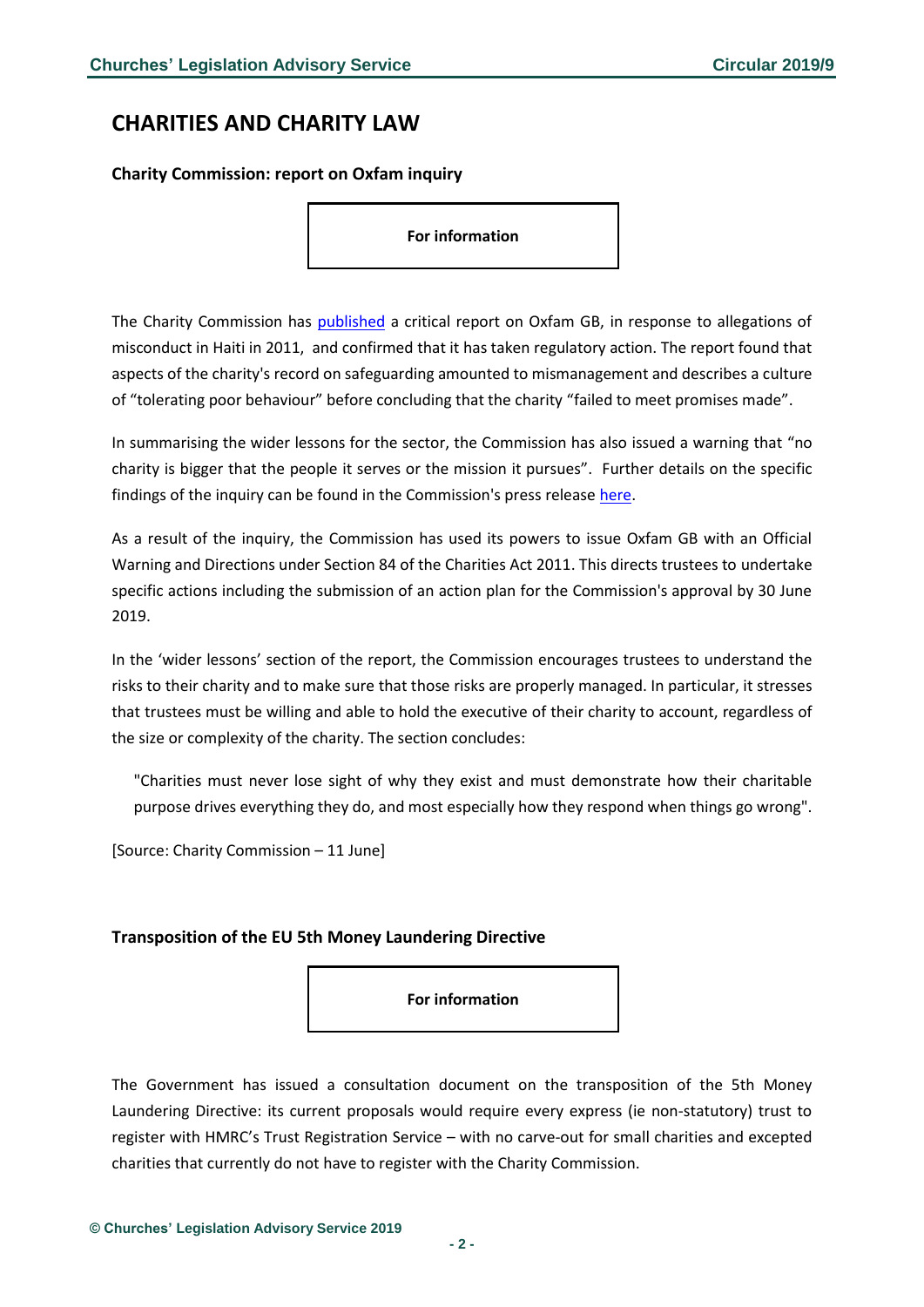### <span id="page-1-0"></span>**CHARITIES AND CHARITY LAW**

#### <span id="page-1-1"></span>**Charity Commission: report on Oxfam inquiry**

**For information**

The Charity Commission has [published](https://www.gov.uk/government/publications/charity-inquiry-oxfam-gb) a critical report on Oxfam GB, in response to allegations of misconduct in Haiti in 2011, and confirmed that it has taken regulatory action. The report found that aspects of the charity's record on safeguarding amounted to mismanagement and describes a culture of "tolerating poor behaviour" before concluding that the charity "failed to meet promises made".

In summarising the wider lessons for the sector, the Commission has also issued a warning that "no charity is bigger that the people it serves or the mission it pursues". Further details on the specific findings of the inquiry can be found in the Commission's press release [here.](https://www.gov.uk/government/news/charity-commission-reports-on-inquiry-into-oxfam-gb-no-charity-is-more-important-than-the-people-it-serves-or-the-mission-it-pursues)

As a result of the inquiry, the Commission has used its powers to issue Oxfam GB with an Official Warning and Directions under Section 84 of the Charities Act 2011. This directs trustees to undertake specific actions including the submission of an action plan for the Commission's approval by 30 June 2019.

In the 'wider lessons' section of the report, the Commission encourages trustees to understand the risks to their charity and to make sure that those risks are properly managed. In particular, it stresses that trustees must be willing and able to hold the executive of their charity to account, regardless of the size or complexity of the charity. The section concludes:

"Charities must never lose sight of why they exist and must demonstrate how their charitable purpose drives everything they do, and most especially how they respond when things go wrong".

[Source: Charity Commission – 11 June]

#### <span id="page-1-2"></span>**Transposition of the EU 5th Money Laundering Directive**

**For information**

The Government has issued a consultation document on the transposition of the 5th Money Laundering Directive: its current proposals would require every express (ie non-statutory) trust to register with HMRC's Trust Registration Service – with no carve-out for small charities and excepted charities that currently do not have to register with the Charity Commission.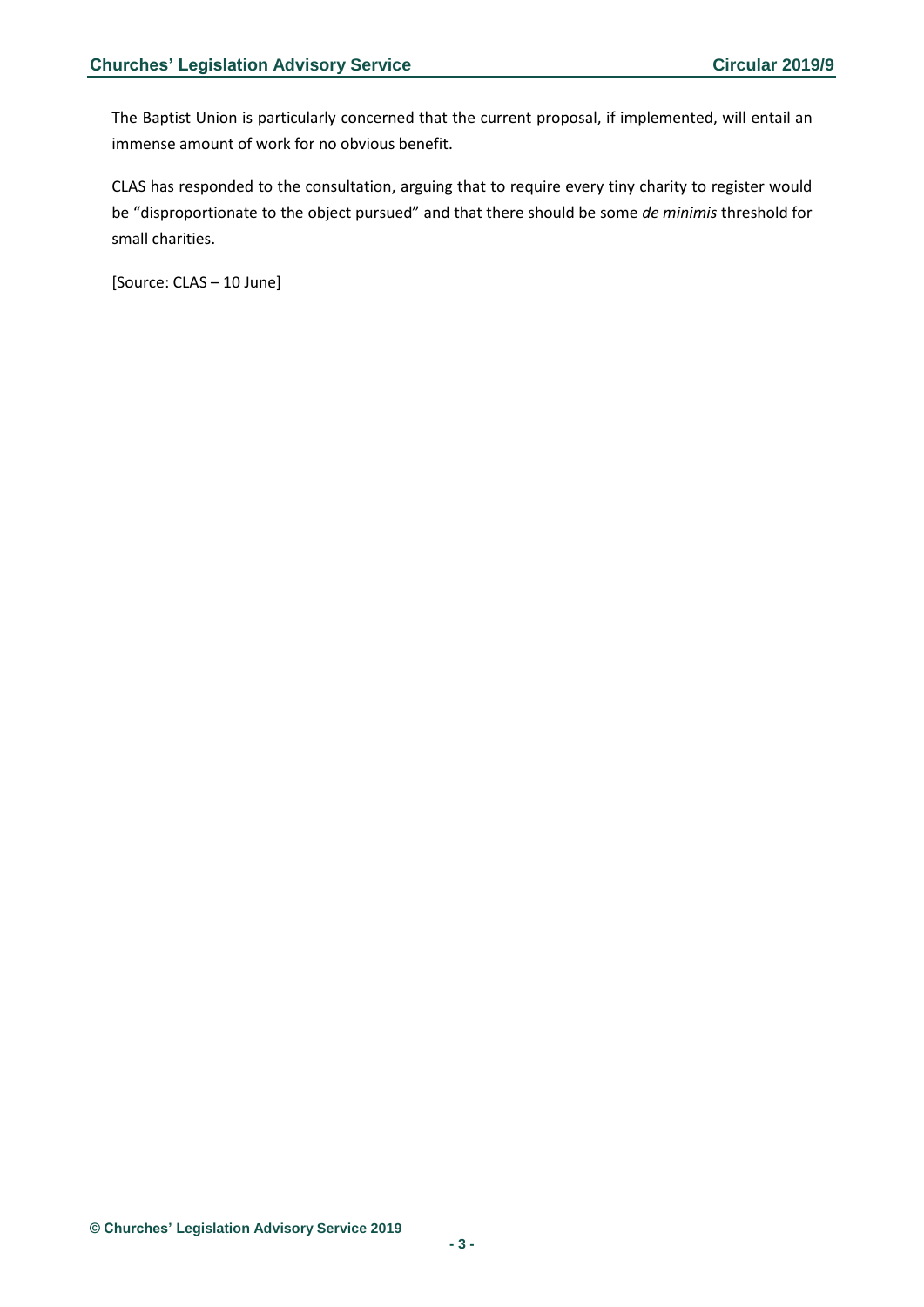The Baptist Union is particularly concerned that the current proposal, if implemented, will entail an immense amount of work for no obvious benefit.

CLAS has responded to the consultation, arguing that to require every tiny charity to register would be "disproportionate to the object pursued" and that there should be some *de minimis* threshold for small charities.

[Source: CLAS – 10 June]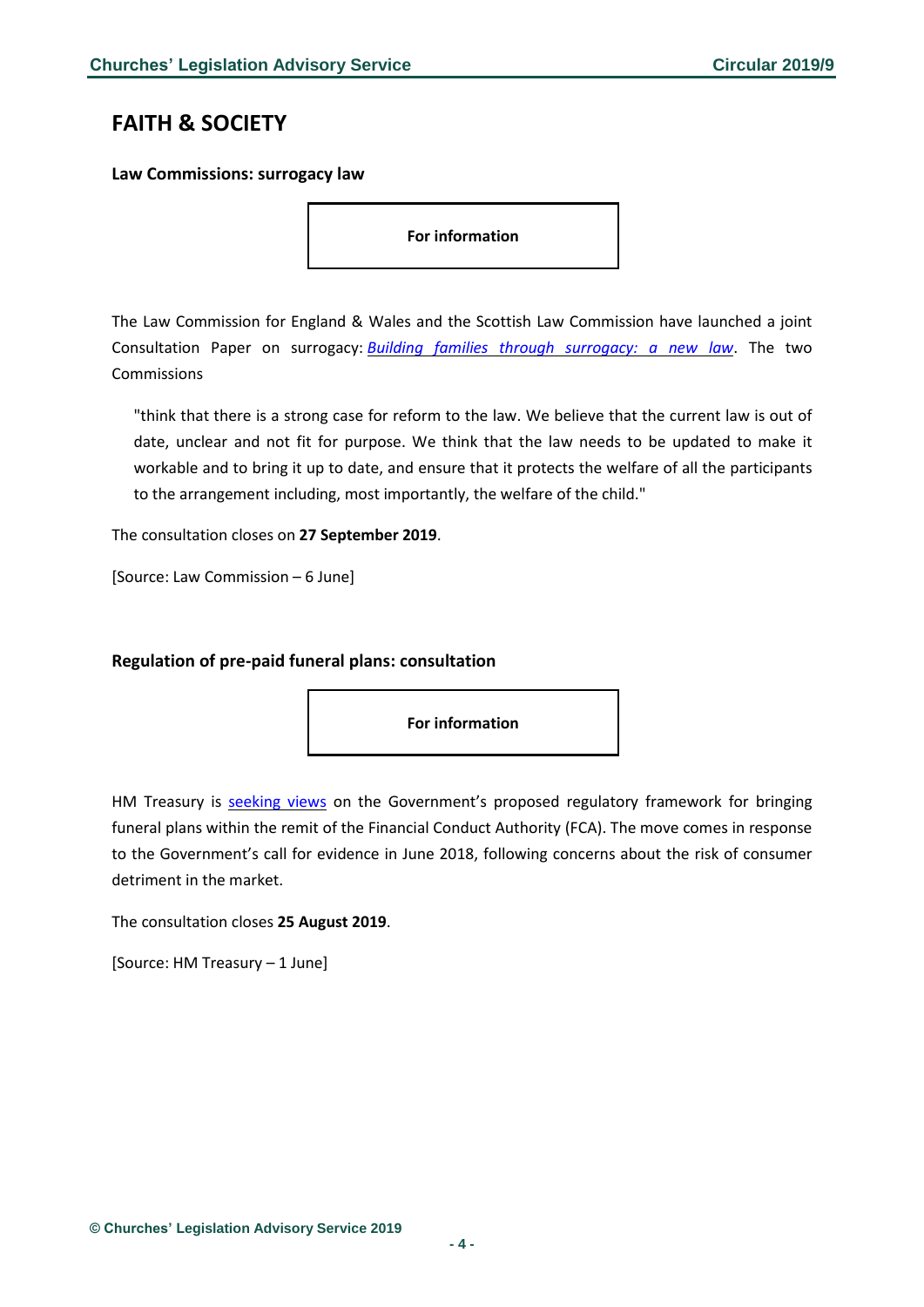### <span id="page-3-0"></span>**FAITH & SOCIETY**

<span id="page-3-1"></span>**Law Commissions: surrogacy law**

**For information**

The Law Commission for England & Wales and the Scottish Law Commission have launched a joint Consultation Paper on surrogacy: *Building families through [surrogacy:](https://s3-eu-west-2.amazonaws.com/lawcom-prod-storage-11jsxou24uy7q/uploads/2019/06/Surrogacy-consultation-paper.pdf) a new law*. The two **Commissions** 

"think that there is a strong case for reform to the law. We believe that the current law is out of date, unclear and not fit for purpose. We think that the law needs to be updated to make it workable and to bring it up to date, and ensure that it protects the welfare of all the participants to the arrangement including, most importantly, the welfare of the child."

The consultation closes on **27 September 2019**.

[Source: Law Commission – 6 June]

#### <span id="page-3-2"></span>**Regulation of pre-paid funeral plans: consultation**



HM Treasury is **[seeking](https://www.gov.uk/government/consultations/regulation-of-pre-paid-funeral-plans-consultation-on-a-policy-proposal) views** on the Government's proposed regulatory framework for bringing funeral plans within the remit of the Financial Conduct Authority (FCA). The move comes in response to the Government's call for evidence in June 2018, following concerns about the risk of consumer detriment in the market.

The consultation closes **25 August 2019**.

[Source: HM Treasury – 1 June]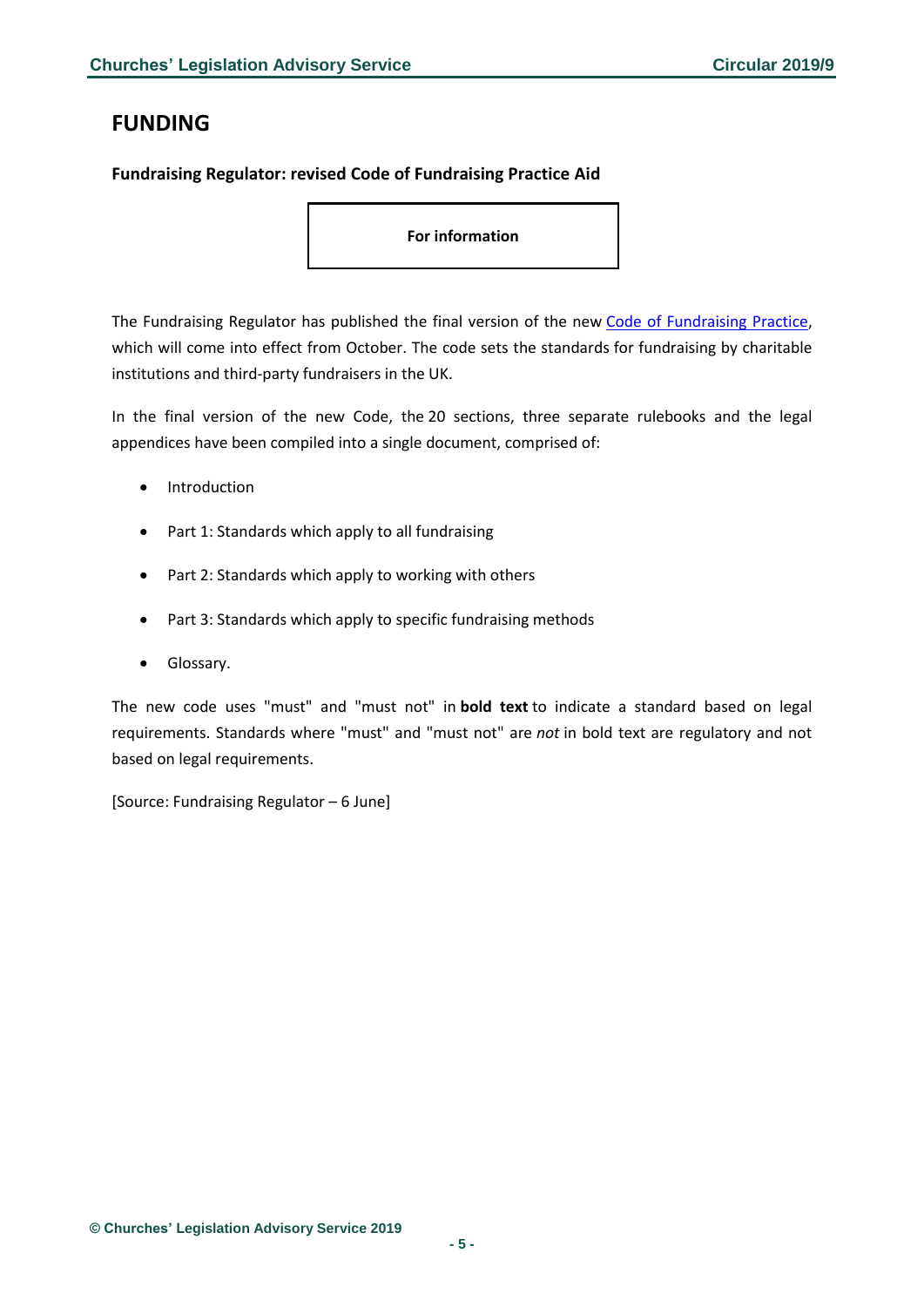# <span id="page-4-0"></span>**FUNDING**

#### <span id="page-4-1"></span>**Fundraising Regulator: revised Code of Fundraising Practice Aid**

**For information**

The Fundraising Regulator has published the final version of the new [Code of Fundraising Practice,](https://www.fundraisingregulator.org.uk/sites/default/files/2019-06/code-of-fundraising-practice-october-2019.pdf) which will come into effect from October. The code sets the standards for fundraising by charitable institutions and third-party fundraisers in the UK.

In the final version of the new Code, the 20 sections, three separate rulebooks and the legal appendices have been compiled into a single document, comprised of:

- **Introduction**
- Part 1: Standards which apply to all fundraising
- Part 2: Standards which apply to working with others
- Part 3: Standards which apply to specific fundraising methods
- Glossary.

The new code uses "must" and "must not" in **bold text** to indicate a standard based on legal requirements. Standards where "must" and "must not" are *not* in bold text are regulatory and not based on legal requirements.

[Source: Fundraising Regulator – 6 June]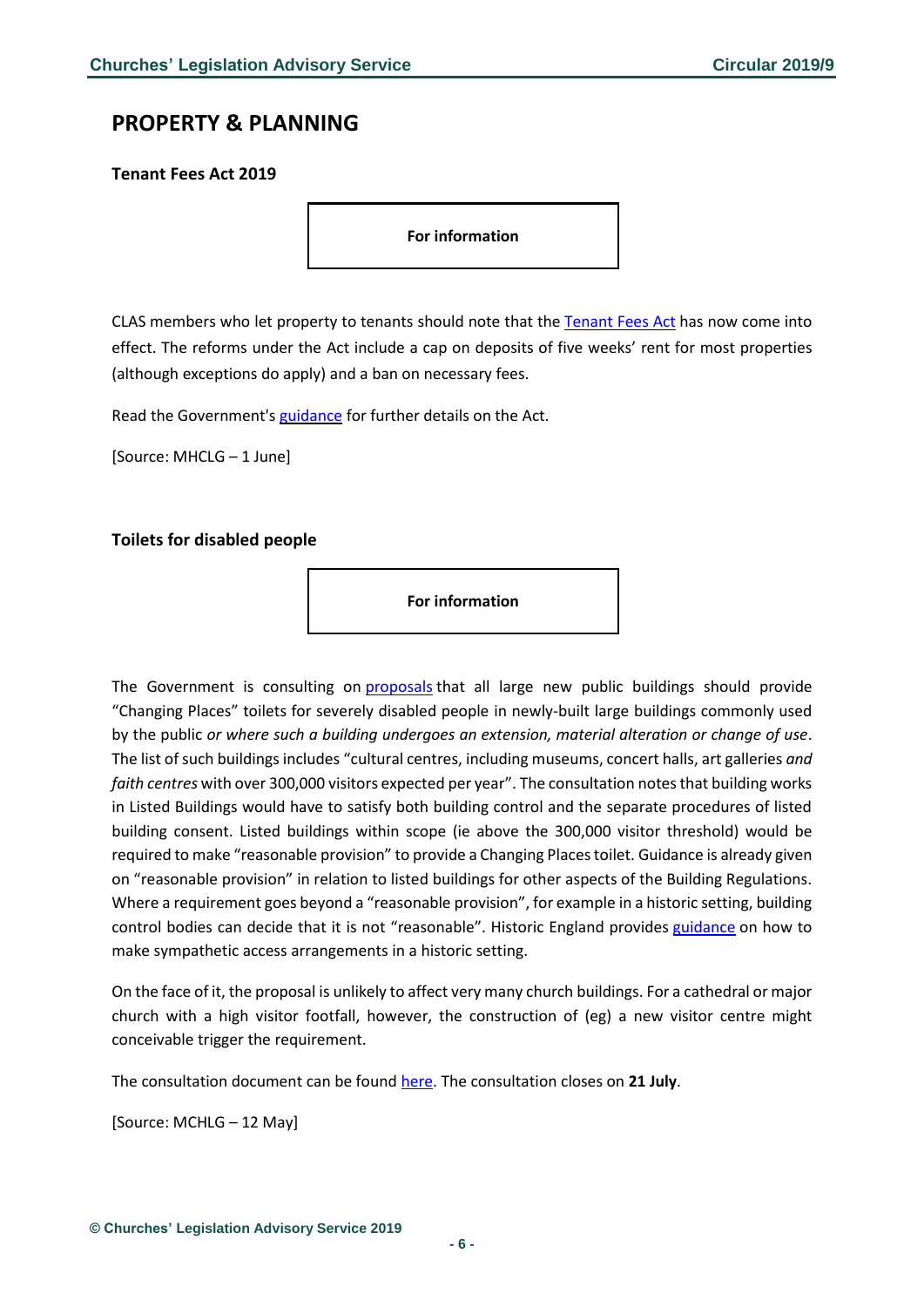### <span id="page-5-0"></span>**PROPERTY & PLANNING**

#### <span id="page-5-1"></span>**Tenant Fees Act 2019**

**For information**

CLAS members who let property to tenants should note that the [Tenant](https://www.gov.uk/government/news/new-law-protecting-tenants-comes-into-force-today?utm_source=6444df2a-32ac-44d3-b1d3-a93fab0343bd&utm_medium=email&utm_campaign=govuk-notifications&utm_content=immediate) Fees Act has now come into effect. The reforms under the Act include a cap on deposits of five weeks' rent for most properties (although exceptions do apply) and a ban on necessary fees.

Read the Government's [guidance](https://www.gov.uk/government/publications/tenant-fees-act-2019-guidance) for further details on the Act.

[Source: MHCLG – 1 June]

#### <span id="page-5-2"></span>**Toilets for disabled people**

**For information**

The Government is consulting on [proposals](https://www.gov.uk/government/news/new-public-buildings-to-have-changing-places-toilets-for-severely-disabled-people) that all large new public buildings should provide "Changing Places" toilets for severely disabled people in newly-built large buildings commonly used by the public *or where such a building undergoes an extension, material alteration or change of use*. The list of such buildings includes "cultural centres, including museums, concert halls, art galleries *and faith centres* with over 300,000 visitors expected per year". The consultation notes that building works in Listed Buildings would have to satisfy both building control and the separate procedures of listed building consent. Listed buildings within scope (ie above the 300,000 visitor threshold) would be required to make "reasonable provision" to provide a Changing Places toilet. Guidance is already given on "reasonable provision" in relation to listed buildings for other aspects of the Building Regulations. Where a requirement goes beyond a "reasonable provision", for example in a historic setting, building control bodies can decide that it is not "reasonable". Historic England provides [guidance](https://historicengland.org.uk/images-books/publications/easy-access-to-historic-buildings/) on how to make sympathetic access arrangements in a historic setting.

On the face of it, the proposal is unlikely to affect very many church buildings. For a cathedral or major church with a high visitor footfall, however, the construction of (eg) a new visitor centre might conceivable trigger the requirement.

The consultation document can be found [here.](https://www.gov.uk/government/consultations/changing-places-toilets) The consultation closes on **21 July**.

[Source: MCHLG – 12 May]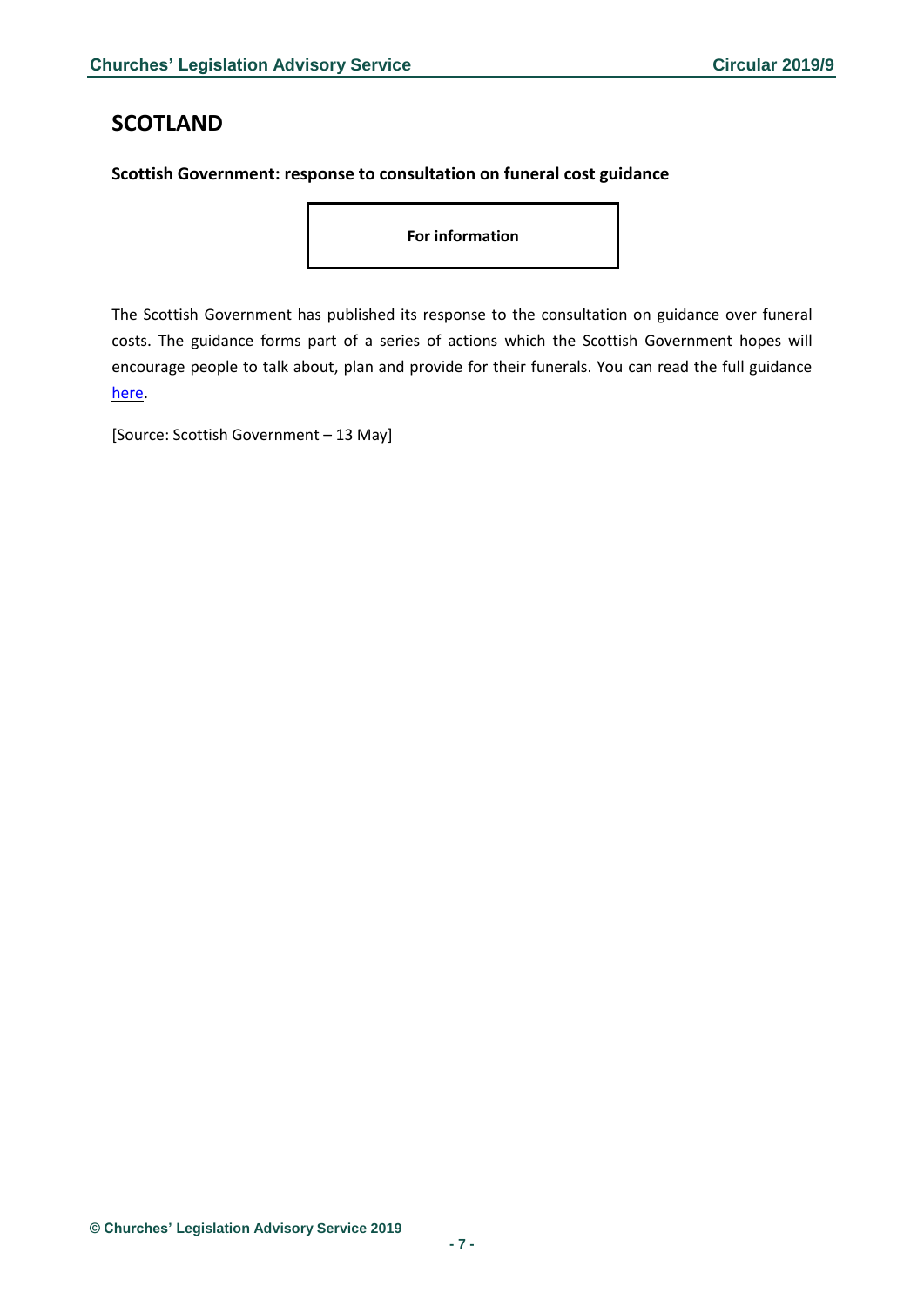# <span id="page-6-0"></span>**SCOTLAND**

#### <span id="page-6-1"></span>**Scottish Government: response to consultation on funeral cost guidance**

**For information**

The Scottish Government has published its response to the consultation on guidance over funeral costs. The guidance forms part of a series of actions which the Scottish Government hopes will encourage people to talk about, plan and provide for their funerals. You can read the full guidance [here.](https://www.gov.scot/publications/guidance-funeral-costs-response-consultation/pages/3/)

[Source: Scottish Government – 13 May]